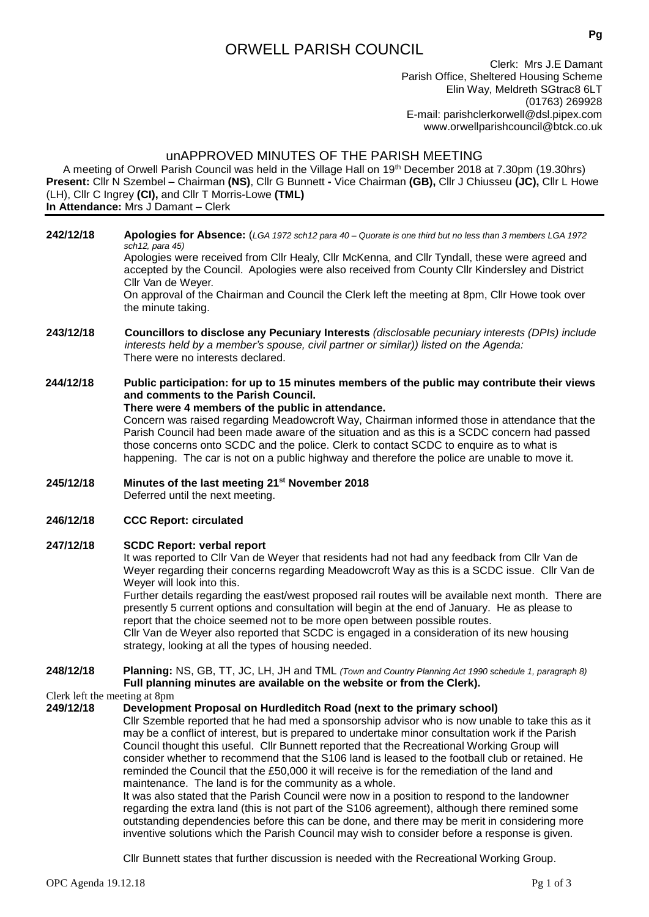# ORWELL PARISH COUNCIL

Clerk: Mrs J.E Damant Parish Office, Sheltered Housing Scheme Elin Way, Meldreth SGtrac8 6LT (01763) 269928 E-mail: [parishclerkorwell@dsl.pipex.com](mailto:parishclerkorwell@dsl.pipex.com) [www.orwellparishcouncil@btck.co.uk](http://www.orwellparishcouncil@btck.co.uk)

# unAPPROVED MINUTES OF THE PARISH MEETING

A meeting of Orwell Parish Council was held in the Village Hall on 19th December 2018 at 7.30pm (19.30hrs) **Present:** Cllr N Szembel – Chairman **(NS)**, Cllr G Bunnett **-** Vice Chairman **(GB),** Cllr J Chiusseu **(JC),** Cllr L Howe (LH), Cllr C Ingrey **(CI),** and Cllr T Morris-Lowe **(TML) In Attendance:** Mrs J Damant – Clerk

**242/12/18 Apologies for Absence:** (*LGA 1972 sch12 para 40 – Quorate is one third but no less than 3 members LGA 1972 sch12, para 45)*

Apologies were received from Cllr Healy, Cllr McKenna, and Cllr Tyndall, these were agreed and accepted by the Council. Apologies were also received from County Cllr Kindersley and District Cllr Van de Weyer.

On approval of the Chairman and Council the Clerk left the meeting at 8pm, Cllr Howe took over the minute taking.

**243/12/18 Councillors to disclose any Pecuniary Interests** *(disclosable pecuniary interests (DPIs) include interests held by a member's spouse, civil partner or similar)) listed on the Agenda:* There were no interests declared.

# **244/12/18 Public participation: for up to 15 minutes members of the public may contribute their views and comments to the Parish Council.**

# **There were 4 members of the public in attendance.**

Concern was raised regarding Meadowcroft Way, Chairman informed those in attendance that the Parish Council had been made aware of the situation and as this is a SCDC concern had passed those concerns onto SCDC and the police. Clerk to contact SCDC to enquire as to what is happening. The car is not on a public highway and therefore the police are unable to move it.

#### **245/12/18 Minutes of the last meeting 21st November 2018** Deferred until the next meeting.

# **246/12/18 CCC Report: circulated**

# **247/12/18 SCDC Report: verbal report**

It was reported to Cllr Van de Weyer that residents had not had any feedback from Cllr Van de Weyer regarding their concerns regarding Meadowcroft Way as this is a SCDC issue. Cllr Van de Weyer will look into this.

Further details regarding the east/west proposed rail routes will be available next month. There are presently 5 current options and consultation will begin at the end of January. He as please to report that the choice seemed not to be more open between possible routes.

Cllr Van de Weyer also reported that SCDC is engaged in a consideration of its new housing strategy, looking at all the types of housing needed.

## **248/12/18 Planning:** NS, GB, TT, JC, LH, JH and TML *(Town and Country Planning Act 1990 schedule 1, paragraph 8)* **Full planning minutes are available on the website or from the Clerk).**

Clerk left the meeting at 8pm<br>249/12/18 Developme

# **249/12/18 Development Proposal on Hurdleditch Road (next to the primary school)**

Cllr Szemble reported that he had med a sponsorship advisor who is now unable to take this as it may be a conflict of interest, but is prepared to undertake minor consultation work if the Parish Council thought this useful. Cllr Bunnett reported that the Recreational Working Group will consider whether to recommend that the S106 land is leased to the football club or retained. He reminded the Council that the £50,000 it will receive is for the remediation of the land and maintenance. The land is for the community as a whole.

It was also stated that the Parish Council were now in a position to respond to the landowner regarding the extra land (this is not part of the S106 agreement), although there remined some outstanding dependencies before this can be done, and there may be merit in considering more inventive solutions which the Parish Council may wish to consider before a response is given.

Cllr Bunnett states that further discussion is needed with the Recreational Working Group.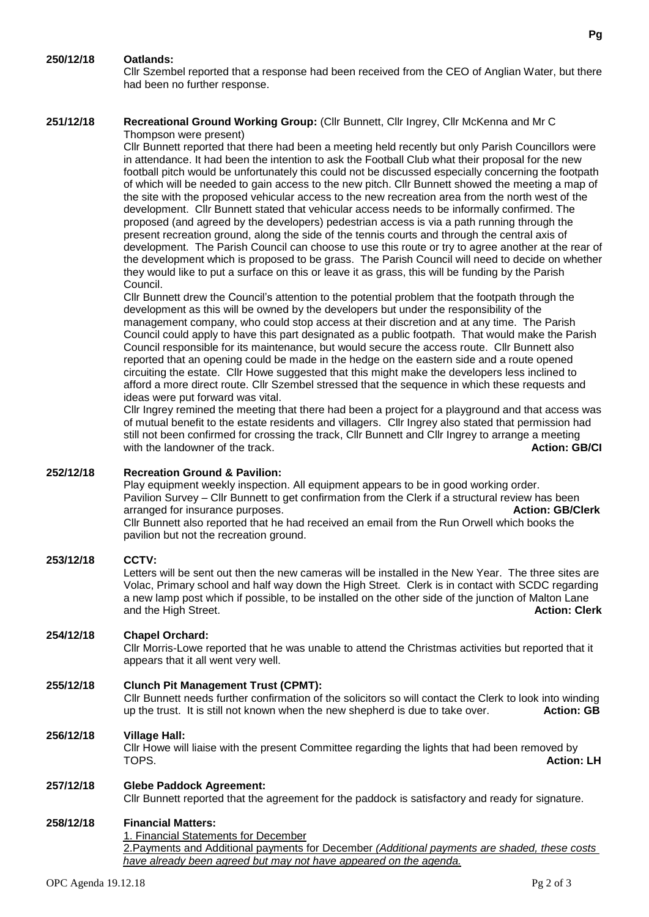# **250/12/18 Oatlands:**

Cllr Szembel reported that a response had been received from the CEO of Anglian Water, but there had been no further response.

#### **251/12/18 Recreational Ground Working Group:** (Cllr Bunnett, Cllr Ingrey, Cllr McKenna and Mr C Thompson were present)

Cllr Bunnett reported that there had been a meeting held recently but only Parish Councillors were in attendance. It had been the intention to ask the Football Club what their proposal for the new football pitch would be unfortunately this could not be discussed especially concerning the footpath of which will be needed to gain access to the new pitch. Cllr Bunnett showed the meeting a map of the site with the proposed vehicular access to the new recreation area from the north west of the development. Cllr Bunnett stated that vehicular access needs to be informally confirmed. The proposed (and agreed by the developers) pedestrian access is via a path running through the present recreation ground, along the side of the tennis courts and through the central axis of development. The Parish Council can choose to use this route or try to agree another at the rear of the development which is proposed to be grass. The Parish Council will need to decide on whether they would like to put a surface on this or leave it as grass, this will be funding by the Parish **Council** 

Cllr Bunnett drew the Council's attention to the potential problem that the footpath through the development as this will be owned by the developers but under the responsibility of the management company, who could stop access at their discretion and at any time. The Parish Council could apply to have this part designated as a public footpath. That would make the Parish Council responsible for its maintenance, but would secure the access route. Cllr Bunnett also reported that an opening could be made in the hedge on the eastern side and a route opened circuiting the estate. Cllr Howe suggested that this might make the developers less inclined to afford a more direct route. Cllr Szembel stressed that the sequence in which these requests and ideas were put forward was vital.

Cllr Ingrey remined the meeting that there had been a project for a playground and that access was of mutual benefit to the estate residents and villagers. Cllr Ingrey also stated that permission had still not been confirmed for crossing the track, Cllr Bunnett and Cllr Ingrey to arrange a meeting with the landowner of the track. **Action: GB/CI Action: GB/CI** 

# **252/12/18 Recreation Ground & Pavilion:**

Play equipment weekly inspection. All equipment appears to be in good working order. Pavilion Survey – Cllr Bunnett to get confirmation from the Clerk if a structural review has been arranged for insurance purposes. **Action: GB/Clerk** Cllr Bunnett also reported that he had received an email from the Run Orwell which books the pavilion but not the recreation ground.

## **253/12/18 CCTV:**

Letters will be sent out then the new cameras will be installed in the New Year. The three sites are Volac, Primary school and half way down the High Street. Clerk is in contact with SCDC regarding a new lamp post which if possible, to be installed on the other side of the junction of Malton Lane and the High Street. **Action: Clerk Action: Clerk** 

# **254/12/18 Chapel Orchard:**

Cllr Morris-Lowe reported that he was unable to attend the Christmas activities but reported that it appears that it all went very well.

# **255/12/18 Clunch Pit Management Trust (CPMT):**

Cllr Bunnett needs further confirmation of the solicitors so will contact the Clerk to look into winding<br>up the trust. It is still not known when the new shepherd is due to take over. **Action: GB** up the trust. It is still not known when the new shepherd is due to take over.

## **256/12/18 Village Hall:**

Cllr Howe will liaise with the present Committee regarding the lights that had been removed by<br>TOPS. TOPS. **Action: LH**

## **257/12/18 Glebe Paddock Agreement:**

Cllr Bunnett reported that the agreement for the paddock is satisfactory and ready for signature.

## **258/12/18 Financial Matters:**

1. Financial Statements for December

2.Payments and Additional payments for December *(Additional payments are shaded, these costs have already been agreed but may not have appeared on the agenda.*